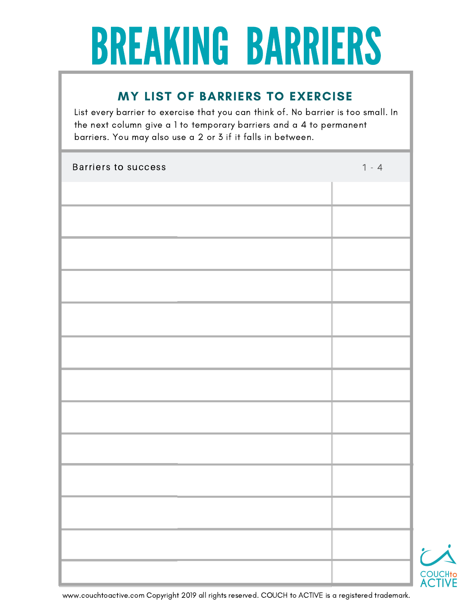## BREAKING BARRIERS

## MY LIST OF BARRIERS TO EXERCISE

List every barrier to exercise that you can think of. No barrier is too small. In the next column give a 1 to temporary barriers and a 4 to permanent barriers. You may also use a 2 or 3 if it falls in between.

| <b>Barriers to success</b> | $1 - 4$ |
|----------------------------|---------|
|                            |         |
|                            |         |
|                            |         |
|                            |         |
|                            |         |
|                            |         |
|                            |         |
|                            |         |
|                            |         |
|                            |         |
|                            |         |
|                            |         |
|                            |         |



www.couchtoactive.com Copyright 2019 all rights reserved. COUCH to ACTIVE is a registered trademark.